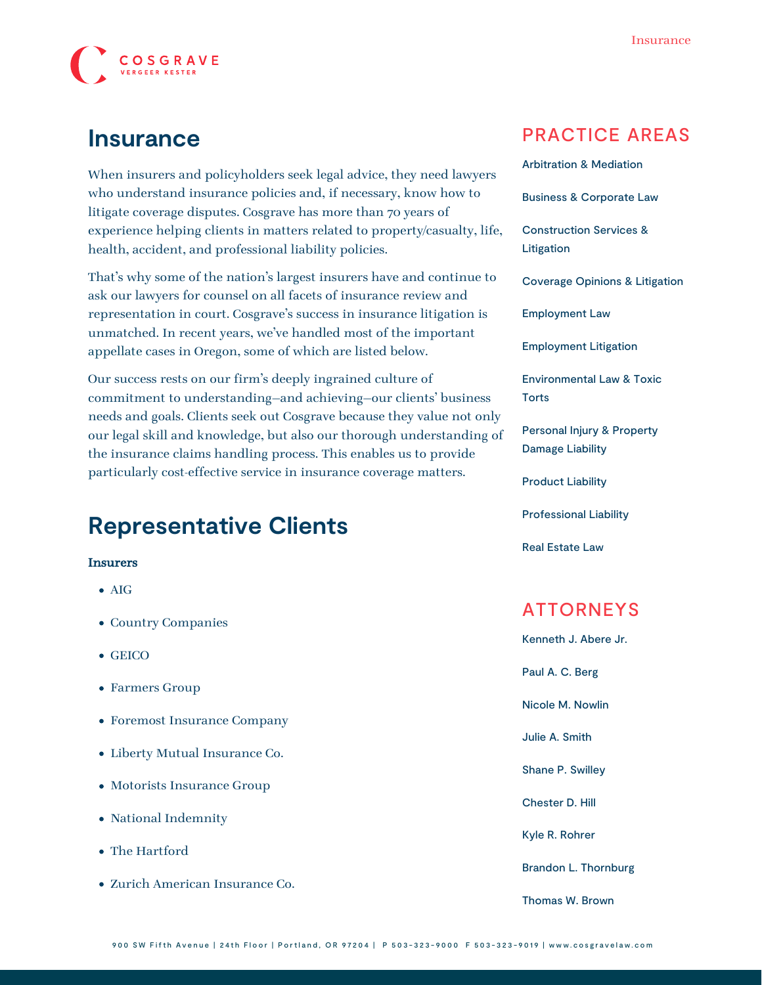

### **Insurance**

When insurers and policyholders seek legal advice, they need lawyers who understand insurance policies and, if necessary, know how to litigate coverage disputes. Cosgrave has more than 70 years of experience helping clients in matters related to property/casualty, life, health, accident, and professional liability policies.

That's why some of the nation's largest insurers have and continue to ask our lawyers for counsel on all facets of insurance review and representation in court. Cosgrave's success in insurance litigation is unmatched. In recent years, we've handled most of the important [appellate](https://www.cosgravelaw.com/appellate-litigation-support/) cases in Oregon, some of which are listed below.

Our success rests on our firm's deeply ingrained culture of commitment to understanding—and achieving—our clients' business needs and goals. Clients seek out Cosgrave because they value not only our legal skill and knowledge, but also our thorough understanding of the insurance claims handling process. This enables us to provide particularly cost-effective service in insurance coverage matters.

# **Representative Clients**

#### Insurers

- AIG
- Country Companies
- GEICO
- Farmers Group
- Foremost Insurance Company
- Liberty Mutual Insurance Co.
- Motorists Insurance Group
- National Indemnity
- The Hartford
- Zurich American Insurance Co.

### PRACTICE AREAS

| <b>Arbitration &amp; Mediation</b>                               |
|------------------------------------------------------------------|
| <b>Business &amp; Corporate Law</b>                              |
| <b>Construction Services &amp;</b><br>Litigation                 |
| <b>Coverage Opinions &amp; Litigation</b>                        |
| <b>Employment Law</b>                                            |
| <b>Employment Litigation</b>                                     |
| <b>Environmental Law &amp; Toxic</b><br><b>Torts</b>             |
| <b>Personal Injury &amp; Property</b><br><b>Damage Liability</b> |
| <b>Product Liability</b>                                         |
| <b>Professional Liability</b>                                    |
| <b>Real Estate Law</b>                                           |
|                                                                  |
| <b>ATTORNEYS</b>                                                 |
| Kenneth J. Abere Jr.                                             |
| Paul A. C. Berg                                                  |
| Nicole M. Nowlin                                                 |
|                                                                  |

[Julie A. Smith](https://www.cosgravelaw.com/julie-smith-appellate-litigation-services/)

[Shane P. Swilley](https://www.cosgravelaw.com/shane-swilley-employment-law/)

[Chester D. Hill](https://www.cosgravelaw.com/chester-hill-commercial-landlord-tenant-attorney/)

[Kyle R. Rohrer](https://www.cosgravelaw.com/kyle-rohrer/)

[Brandon L. Thornburg](https://www.cosgravelaw.com/brandon-thornburg-transportation-litigation/)

[Thomas W. Brown](https://www.cosgravelaw.com/thomas-w-brown/)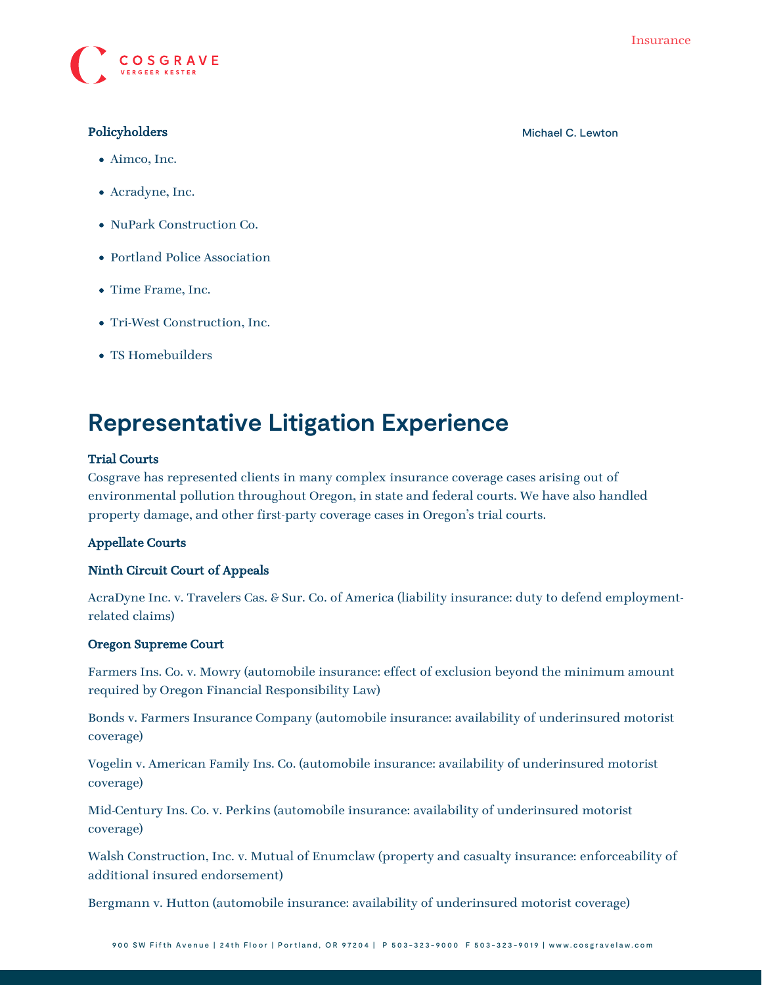

- Aimco, Inc.
- Acradyne, Inc.
- NuPark Construction Co.
- Portland Police Association
- Time Frame, Inc.
- Tri-West Construction, Inc.
- TS Homebuilders

## **Representative Litigation Experience**

### Trial Courts

Cosgrave has represented clients in many complex insurance coverage cases arising out of environmental pollution throughout Oregon, in state and federal courts. We have also handled property damage, and other first-party coverage cases in Oregon's trial courts.

#### Appellate Courts

#### Ninth Circuit Court of Appeals

AcraDyne Inc. v. Travelers Cas. & Sur. Co. of America (liability insurance: duty to defend employmentrelated claims)

#### Oregon Supreme Court

Farmers Ins. Co. v. Mowry (automobile insurance: effect of exclusion beyond the minimum amount required by Oregon Financial Responsibility Law)

Bonds v. Farmers Insurance Company (automobile insurance: availability of underinsured motorist coverage)

Vogelin v. American Family Ins. Co. (automobile insurance: availability of underinsured motorist coverage)

Mid-Century Ins. Co. v. Perkins (automobile insurance: availability of underinsured motorist coverage)

Walsh Construction, Inc. v. Mutual of Enumclaw (property and casualty insurance: enforceability of additional insured endorsement)

Bergmann v. Hutton (automobile insurance: availability of underinsured motorist coverage)

Policyholders **[Michael C. Lewton](https://www.cosgravelaw.com/michael-lewton-personal-injury-litigation/)** Michael C. Lewton